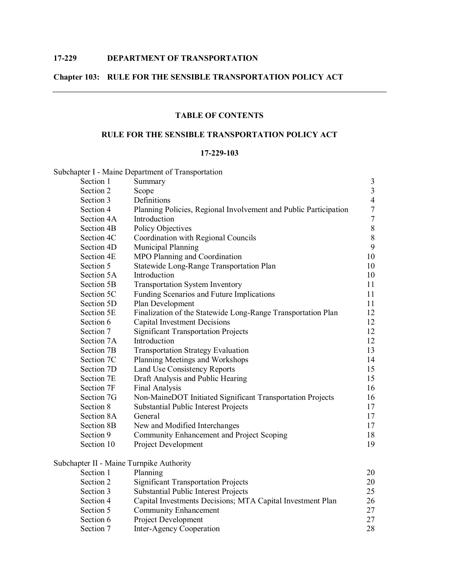# **Chapter 103: RULE FOR THE SENSIBLE TRANSPORTATION POLICY ACT**

# **TABLE OF CONTENTS**

# **RULE FOR THE SENSIBLE TRANSPORTATION POLICY ACT**

#### **17229103**

| Subchapter I - Maine Department of Transportation                |                                                                                                                                                                                                          |
|------------------------------------------------------------------|----------------------------------------------------------------------------------------------------------------------------------------------------------------------------------------------------------|
| Summary                                                          | $\mathfrak{Z}$                                                                                                                                                                                           |
| Scope                                                            | $\mathfrak{Z}$                                                                                                                                                                                           |
| Definitions                                                      | $\overline{4}$                                                                                                                                                                                           |
| Planning Policies, Regional Involvement and Public Participation | $\boldsymbol{7}$                                                                                                                                                                                         |
| Introduction                                                     | $\tau$                                                                                                                                                                                                   |
| <b>Policy Objectives</b>                                         | $\,8\,$                                                                                                                                                                                                  |
| Coordination with Regional Councils                              | 8                                                                                                                                                                                                        |
| Municipal Planning                                               | 9                                                                                                                                                                                                        |
| MPO Planning and Coordination                                    | 10                                                                                                                                                                                                       |
| Statewide Long-Range Transportation Plan                         | 10                                                                                                                                                                                                       |
| Introduction                                                     | 10                                                                                                                                                                                                       |
| <b>Transportation System Inventory</b>                           | 11                                                                                                                                                                                                       |
| Funding Scenarios and Future Implications                        | 11                                                                                                                                                                                                       |
| Plan Development                                                 | 11                                                                                                                                                                                                       |
| Finalization of the Statewide Long-Range Transportation Plan     | 12                                                                                                                                                                                                       |
| <b>Capital Investment Decisions</b>                              | 12                                                                                                                                                                                                       |
| <b>Significant Transportation Projects</b>                       | 12                                                                                                                                                                                                       |
| Introduction                                                     | 12                                                                                                                                                                                                       |
| <b>Transportation Strategy Evaluation</b>                        | 13                                                                                                                                                                                                       |
| Planning Meetings and Workshops                                  | 14                                                                                                                                                                                                       |
| Land Use Consistency Reports                                     | 15                                                                                                                                                                                                       |
| Draft Analysis and Public Hearing                                | 15                                                                                                                                                                                                       |
| Final Analysis                                                   | 16                                                                                                                                                                                                       |
| Non-MaineDOT Initiated Significant Transportation Projects       | 16                                                                                                                                                                                                       |
| <b>Substantial Public Interest Projects</b>                      | 17                                                                                                                                                                                                       |
| General                                                          | 17                                                                                                                                                                                                       |
| New and Modified Interchanges                                    | 17                                                                                                                                                                                                       |
| Community Enhancement and Project Scoping                        | 18                                                                                                                                                                                                       |
| Project Development                                              | 19                                                                                                                                                                                                       |
|                                                                  |                                                                                                                                                                                                          |
|                                                                  | 20                                                                                                                                                                                                       |
|                                                                  | 20                                                                                                                                                                                                       |
|                                                                  | 25                                                                                                                                                                                                       |
|                                                                  | 26                                                                                                                                                                                                       |
| <b>Community Enhancement</b>                                     | 27                                                                                                                                                                                                       |
| <b>Project Development</b>                                       | 27                                                                                                                                                                                                       |
|                                                                  | Subchapter II - Maine Turnpike Authority<br>Planning<br><b>Significant Transportation Projects</b><br>Substantial Public Interest Projects<br>Capital Investments Decisions; MTA Capital Investment Plan |

Section 7 Inter-Agency Cooperation 28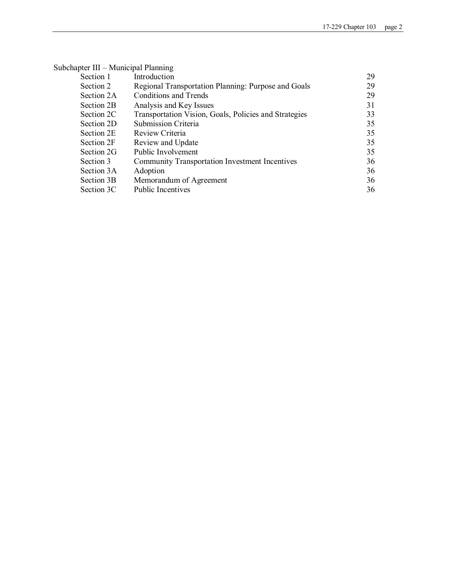| Subchapter III – Municipal Planning                   |    |
|-------------------------------------------------------|----|
| Introduction                                          | 29 |
| Regional Transportation Planning: Purpose and Goals   | 29 |
| <b>Conditions and Trends</b>                          | 29 |
| Analysis and Key Issues                               | 31 |
| Transportation Vision, Goals, Policies and Strategies | 33 |
| <b>Submission Criteria</b>                            | 35 |
| Review Criteria                                       | 35 |
| Review and Update                                     | 35 |
| Public Involvement                                    | 35 |
| <b>Community Transportation Investment Incentives</b> | 36 |
| Adoption                                              | 36 |
| Memorandum of Agreement                               | 36 |
| <b>Public Incentives</b>                              | 36 |
|                                                       |    |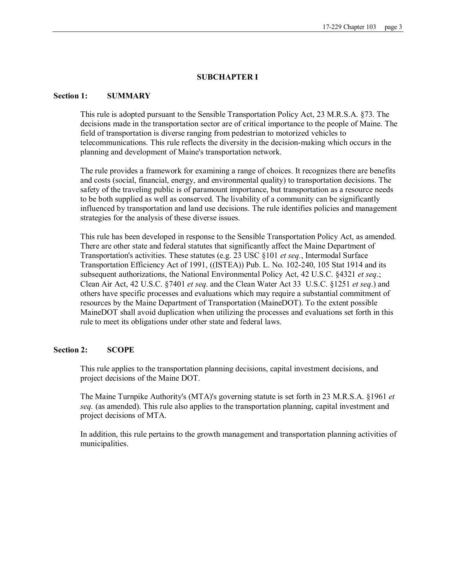#### **SUBCHAPTER I**

### **Section 1: SUMMARY**

This rule is adopted pursuant to the Sensible Transportation Policy Act, 23 M.R.S.A. §73. The decisions made in the transportation sector are of critical importance to the people of Maine. The field of transportation is diverse ranging from pedestrian to motorized vehicles to telecommunications. This rule reflects the diversity in the decision-making which occurs in the planning and development of Maine's transportation network.

The rule provides a framework for examining a range of choices. It recognizes there are benefits and costs (social, financial, energy, and environmental quality) to transportation decisions. The safety of the traveling public is of paramount importance, but transportation as a resource needs to be both supplied as well as conserved. The livability of a community can be significantly influenced by transportation and land use decisions. The rule identifies policies and management strategies for the analysis of these diverse issues.

This rule has been developed in response to the Sensible Transportation Policy Act, as amended. There are other state and federal statutes that significantly affect the Maine Department of Transportation's activities. These statutes (e.g. 23 USC §101 *et seq.*, Intermodal Surface Transportation Efficiency Act of 1991, ((ISTEA)) Pub. L. No. 102240, 105 Stat 1914 and its subsequent authorizations, the National Environmental Policy Act, 42 U.S.C. §4321 *et seq*.; Clean Air Act, 42 U.S.C. §7401 *et seq*. and the Clean Water Act 33 U.S.C. §1251 *et seq*.) and others have specific processes and evaluations which may require a substantial commitment of resources by the Maine Department of Transportation (MaineDOT). To the extent possible MaineDOT shall avoid duplication when utilizing the processes and evaluations set forth in this rule to meet its obligations under other state and federal laws.

### **Section 2: SCOPE**

This rule applies to the transportation planning decisions, capital investment decisions, and project decisions of the Maine DOT.

The Maine Turnpike Authority's (MTA)'s governing statute is set forth in 23 M.R.S.A. §1961 *et seq.* (as amended). This rule also applies to the transportation planning, capital investment and project decisions of MTA.

In addition, this rule pertains to the growth management and transportation planning activities of municipalities.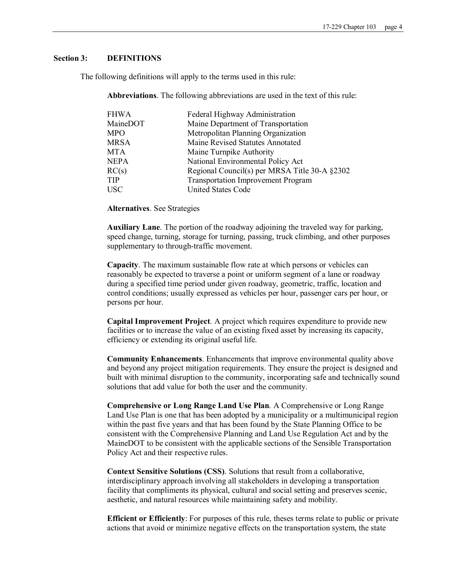### **Section 3: DEFINITIONS**

The following definitions will apply to the terms used in this rule:

**Abbreviations**. The following abbreviations are used in the text of this rule:

| FHWA     | Federal Highway Administration                |
|----------|-----------------------------------------------|
| MaineDOT | Maine Department of Transportation            |
| MPO      | Metropolitan Planning Organization            |
| MRSA     | Maine Revised Statutes Annotated              |
| MTA      | Maine Turnpike Authority                      |
| NEPA     | National Environmental Policy Act             |
| RC(s)    | Regional Council(s) per MRSA Title 30-A §2302 |
| TIP      | <b>Transportation Improvement Program</b>     |
| USC      | <b>United States Code</b>                     |

**Alternatives**. See Strategies

**Auxiliary Lane**. The portion of the roadway adjoining the traveled way for parking, speed change, turning, storage for turning, passing, truck climbing, and other purposes supplementary to through-traffic movement.

**Capacity**. The maximum sustainable flow rate at which persons or vehicles can reasonably be expected to traverse a point or uniform segment of a lane or roadway during a specified time period under given roadway, geometric, traffic, location and control conditions; usually expressed as vehicles per hour, passenger cars per hour, or persons per hour.

**Capital Improvement Project**. A project which requires expenditure to provide new facilities or to increase the value of an existing fixed asset by increasing its capacity, efficiency or extending its original useful life.

**Community Enhancements**. Enhancements that improve environmental quality above and beyond any project mitigation requirements. They ensure the project is designed and built with minimal disruption to the community, incorporating safe and technically sound solutions that add value for both the user and the community.

**Comprehensive or Long Range Land Use Plan**. A Comprehensive or Long Range Land Use Plan is one that has been adopted by a municipality or a multimunicipal region within the past five years and that has been found by the State Planning Office to be consistent with the Comprehensive Planning and Land Use Regulation Act and by the MaineDOT to be consistent with the applicable sections of the Sensible Transportation Policy Act and their respective rules.

**Context Sensitive Solutions (CSS)**. Solutions that result from a collaborative, interdisciplinary approach involving all stakeholders in developing a transportation facility that compliments its physical, cultural and social setting and preserves scenic, aesthetic, and natural resources while maintaining safety and mobility.

**Efficient or Efficiently**: For purposes of this rule, theses terms relate to public or private actions that avoid or minimize negative effects on the transportation system, the state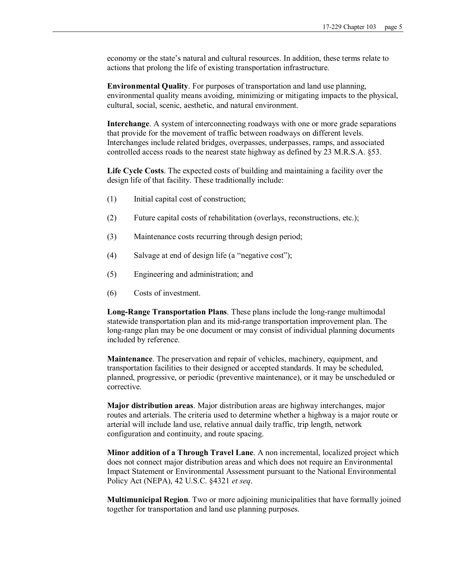economy or the state's natural and cultural resources. In addition, these terms relate to actions that prolong the life of existing transportation infrastructure.

**Environmental Quality**. For purposes of transportation and land use planning, environmental quality means avoiding, minimizing or mitigating impacts to the physical, cultural, social, scenic, aesthetic, and natural environment.

**Interchange**. A system of interconnecting roadways with one or more grade separations that provide for the movement of traffic between roadways on different levels. Interchanges include related bridges, overpasses, underpasses, ramps, and associated controlled access roads to the nearest state highway as defined by 23 M.R.S.A. §53.

**Life Cycle Costs**. The expected costs of building and maintaining a facility over the design life of that facility. These traditionally include:

- (1) Initial capital cost of construction;
- (2) Future capital costs of rehabilitation (overlays, reconstructions, etc.);
- (3) Maintenance costs recurring through design period;
- (4) Salvage at end of design life (a "negative cost");
- (5) Engineering and administration; and
- (6) Costs of investment.

**Long-Range Transportation Plans**. These plans include the long-range multimodal statewide transportation plan and its mid-range transportation improvement plan. The long-range plan may be one document or may consist of individual planning documents included by reference.

**Maintenance**. The preservation and repair of vehicles, machinery, equipment, and transportation facilities to their designed or accepted standards. It may be scheduled, planned, progressive, or periodic (preventive maintenance), or it may be unscheduled or corrective.

**Major distribution areas**. Major distribution areas are highway interchanges, major routes and arterials. The criteria used to determine whether a highway is a major route or arterial will include land use, relative annual daily traffic, trip length, network configuration and continuity, and route spacing.

**Minor addition of a Through Travel Lane**. A non incremental, localized project which does not connect major distribution areas and which does not require an Environmental Impact Statement or Environmental Assessment pursuant to the National Environmental Policy Act (NEPA), 42 U.S.C. §4321 *et seq*.

**Multimunicipal Region**. Two or more adjoining municipalities that have formally joined together for transportation and land use planning purposes.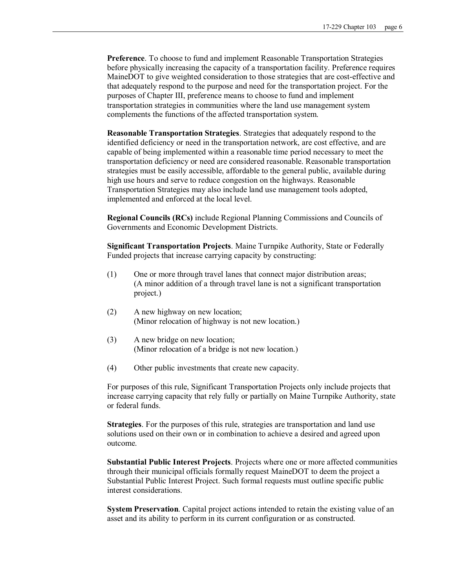**Preference**. To choose to fund and implement Reasonable Transportation Strategies before physically increasing the capacity of a transportation facility. Preference requires MaineDOT to give weighted consideration to those strategies that are cost-effective and that adequately respond to the purpose and need for the transportation project. For the purposes of Chapter III, preference means to choose to fund and implement transportation strategies in communities where the land use management system complements the functions of the affected transportation system.

**Reasonable Transportation Strategies**. Strategies that adequately respond to the identified deficiency or need in the transportation network, are cost effective, and are capable of being implemented within a reasonable time period necessary to meet the transportation deficiency or need are considered reasonable. Reasonable transportation strategies must be easily accessible, affordable to the general public, available during high use hours and serve to reduce congestion on the highways. Reasonable Transportation Strategies may also include land use management tools adopted, implemented and enforced at the local level.

**Regional Councils (RCs)** include Regional Planning Commissions and Councils of Governments and Economic Development Districts.

**Significant Transportation Projects**. Maine Turnpike Authority, State or Federally Funded projects that increase carrying capacity by constructing:

- (1) One or more through travel lanes that connect major distribution areas; (A minor addition of a through travel lane is not a significant transportation project.)
- (2) A new highway on new location; (Minor relocation of highway is not new location.)
- (3) A new bridge on new location; (Minor relocation of a bridge is not new location.)
- (4) Other public investments that create new capacity.

For purposes of this rule, Significant Transportation Projects only include projects that increase carrying capacity that rely fully or partially on Maine Turnpike Authority, state or federal funds.

**Strategies**. For the purposes of this rule, strategies are transportation and land use solutions used on their own or in combination to achieve a desired and agreed upon outcome.

**Substantial Public Interest Projects**. Projects where one or more affected communities through their municipal officials formally request MaineDOT to deem the project a Substantial Public Interest Project. Such formal requests must outline specific public interest considerations.

**System Preservation**. Capital project actions intended to retain the existing value of an asset and its ability to perform in its current configuration or as constructed.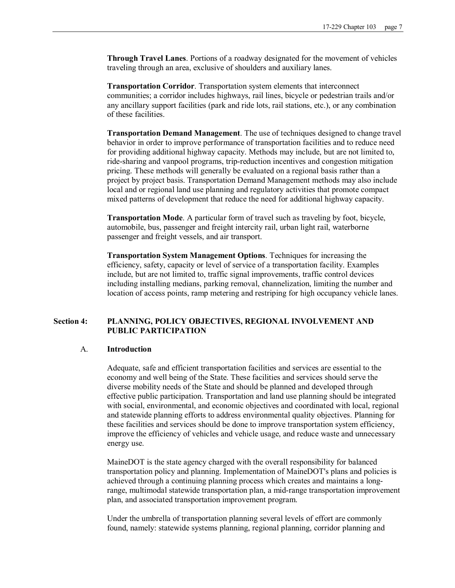**Through Travel Lanes**. Portions of a roadway designated for the movement of vehicles traveling through an area, exclusive of shoulders and auxiliary lanes.

**Transportation Corridor**. Transportation system elements that interconnect communities; a corridor includes highways, rail lines, bicycle or pedestrian trails and/or any ancillary support facilities (park and ride lots, rail stations, etc.), or any combination of these facilities.

**Transportation Demand Management**. The use of techniques designed to change travel behavior in order to improve performance of transportation facilities and to reduce need for providing additional highway capacity. Methods may include, but are not limited to, ride-sharing and vanpool programs, trip-reduction incentives and congestion mitigation pricing. These methods will generally be evaluated on a regional basis rather than a project by project basis. Transportation Demand Management methods may also include local and or regional land use planning and regulatory activities that promote compact mixed patterns of development that reduce the need for additional highway capacity.

**Transportation Mode**. A particular form of travel such as traveling by foot, bicycle, automobile, bus, passenger and freight intercity rail, urban light rail, waterborne passenger and freight vessels, and air transport.

**Transportation System Management Options**. Techniques for increasing the efficiency, safety, capacity or level of service of a transportation facility. Examples include, but are not limited to, traffic signal improvements, traffic control devices including installing medians, parking removal, channelization, limiting the number and location of access points, ramp metering and restriping for high occupancy vehicle lanes.

# **Section 4: PLANNING, POLICY OBJECTIVES, REGIONAL INVOLVEMENT AND PUBLIC PARTICIPATION**

### A. **Introduction**

Adequate, safe and efficient transportation facilities and services are essential to the economy and well being of the State. These facilities and services should serve the diverse mobility needs of the State and should be planned and developed through effective public participation. Transportation and land use planning should be integrated with social, environmental, and economic objectives and coordinated with local, regional and statewide planning efforts to address environmental quality objectives. Planning for these facilities and services should be done to improve transportation system efficiency, improve the efficiency of vehicles and vehicle usage, and reduce waste and unnecessary energy use.

MaineDOT is the state agency charged with the overall responsibility for balanced transportation policy and planning. Implementation of MaineDOT's plans and policies is achieved through a continuing planning process which creates and maintains a longrange, multimodal statewide transportation plan, a mid-range transportation improvement plan, and associated transportation improvement program.

Under the umbrella of transportation planning several levels of effort are commonly found, namely: statewide systems planning, regional planning, corridor planning and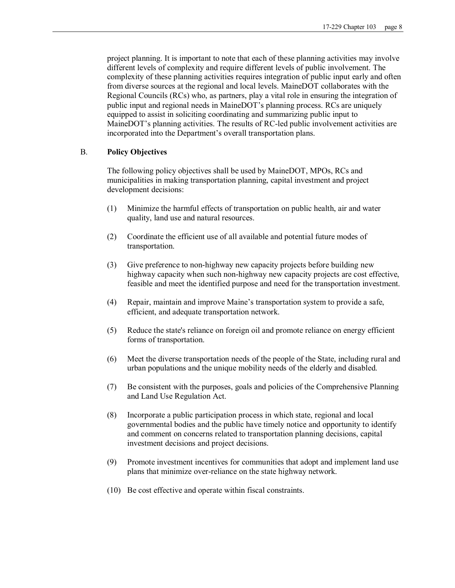project planning. It is important to note that each of these planning activities may involve different levels of complexity and require different levels of public involvement. The complexity of these planning activities requires integration of public input early and often from diverse sources at the regional and local levels. MaineDOT collaborates with the Regional Councils (RCs) who, as partners, play a vital role in ensuring the integration of public input and regional needs in MaineDOT's planning process. RCs are uniquely equipped to assist in soliciting coordinating and summarizing public input to MaineDOT's planning activities. The results of RC-led public involvement activities are incorporated into the Department's overall transportation plans.

# B. **Policy Objectives**

The following policy objectives shall be used by MaineDOT, MPOs, RCs and municipalities in making transportation planning, capital investment and project development decisions:

- (1) Minimize the harmful effects of transportation on public health, air and water quality, land use and natural resources.
- (2) Coordinate the efficient use of all available and potential future modes of transportation.
- (3) Give preference to nonhighway new capacity projects before building new highway capacity when such non-highway new capacity projects are cost effective, feasible and meet the identified purpose and need for the transportation investment.
- (4) Repair, maintain and improve Maine's transportation system to provide a safe, efficient, and adequate transportation network.
- (5) Reduce the state's reliance on foreign oil and promote reliance on energy efficient forms of transportation.
- (6) Meet the diverse transportation needs of the people of the State, including rural and urban populations and the unique mobility needs of the elderly and disabled.
- (7) Be consistent with the purposes, goals and policies of the Comprehensive Planning and Land Use Regulation Act.
- (8) Incorporate a public participation process in which state, regional and local governmental bodies and the public have timely notice and opportunity to identify and comment on concerns related to transportation planning decisions, capital investment decisions and project decisions.
- (9) Promote investment incentives for communities that adopt and implement land use plans that minimize over-reliance on the state highway network.
- (10) Be cost effective and operate within fiscal constraints.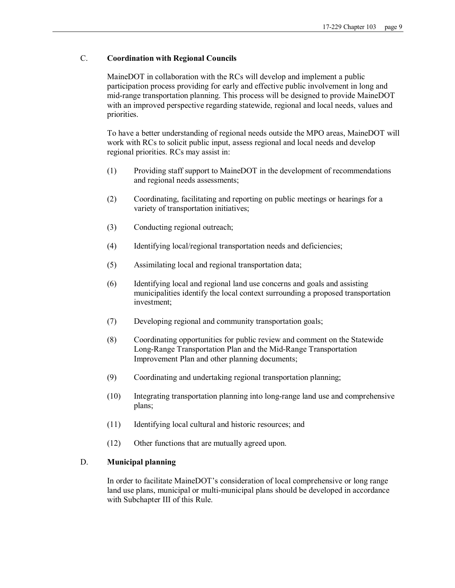# C. **Coordination with Regional Councils**

MaineDOT in collaboration with the RCs will develop and implement a public participation process providing for early and effective public involvement in long and mid-range transportation planning. This process will be designed to provide MaineDOT with an improved perspective regarding statewide, regional and local needs, values and priorities.

To have a better understanding of regional needs outside the MPO areas, MaineDOT will work with RCs to solicit public input, assess regional and local needs and develop regional priorities. RCs may assist in:

- (1) Providing staff support to MaineDOT in the development of recommendations and regional needs assessments;
- (2) Coordinating, facilitating and reporting on public meetings or hearings for a variety of transportation initiatives;
- (3) Conducting regional outreach;
- (4) Identifying local/regional transportation needs and deficiencies;
- (5) Assimilating local and regional transportation data;
- (6) Identifying local and regional land use concerns and goals and assisting municipalities identify the local context surrounding a proposed transportation investment;
- (7) Developing regional and community transportation goals;
- (8) Coordinating opportunities for public review and comment on the Statewide Long-Range Transportation Plan and the Mid-Range Transportation Improvement Plan and other planning documents;
- (9) Coordinating and undertaking regional transportation planning;
- (10) Integrating transportation planning into longrange land use and comprehensive plans;
- (11) Identifying local cultural and historic resources; and
- (12) Other functions that are mutually agreed upon.

# D. **Municipal planning**

In order to facilitate MaineDOT's consideration of local comprehensive or long range land use plans, municipal or multi-municipal plans should be developed in accordance with Subchapter III of this Rule.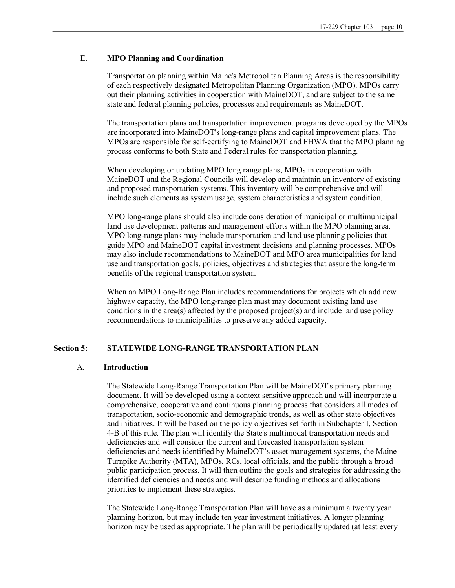### E. **MPO Planning and Coordination**

Transportation planning within Maine's Metropolitan Planning Areas is the responsibility of each respectively designated Metropolitan Planning Organization (MPO). MPOs carry out their planning activities in cooperation with MaineDOT, and are subject to the same state and federal planning policies, processes and requirements as MaineDOT.

The transportation plans and transportation improvement programs developed by the MPOs are incorporated into MaineDOT's long-range plans and capital improvement plans. The MPOs are responsible for self-certifying to MaineDOT and FHWA that the MPO planning process conforms to both State and Federal rules for transportation planning.

When developing or updating MPO long range plans, MPOs in cooperation with MaineDOT and the Regional Councils will develop and maintain an inventory of existing and proposed transportation systems. This inventory will be comprehensive and will include such elements as system usage, system characteristics and system condition.

MPO long-range plans should also include consideration of municipal or multimunicipal land use development patterns and management efforts within the MPO planning area. MPO long-range plans may include transportation and land use planning policies that guide MPO and MaineDOT capital investment decisions and planning processes. MPOs may also include recommendations to MaineDOT and MPO area municipalities for land use and transportation goals, policies, objectives and strategies that assure the long-term benefits of the regional transportation system.

When an MPO Long-Range Plan includes recommendations for projects which add new highway capacity, the MPO long-range plan must may document existing land use conditions in the area(s) affected by the proposed project(s) and include land use policy recommendations to municipalities to preserve any added capacity.

#### **Section 5: STATEWIDE LONGRANGE TRANSPORTATION PLAN**

### A. **Introduction**

The Statewide Long-Range Transportation Plan will be MaineDOT's primary planning document. It will be developed using a context sensitive approach and will incorporate a comprehensive, cooperative and continuous planning process that considers all modes of transportation, socio-economic and demographic trends, as well as other state objectives and initiatives. It will be based on the policy objectives set forth in Subchapter I, Section 4B ofthis rule. The plan will identify the State's multimodal transportation needs and deficiencies and will consider the current and forecasted transportation system deficiencies and needs identified by MaineDOT's asset management systems, the Maine Turnpike Authority (MTA), MPOs, RCs, local officials, and the public through a broad public participation process. It will then outline the goals and strategies for addressing the identified deficiencies and needs and will describe funding methods and allocations priorities to implement these strategies.

The Statewide Long-Range Transportation Plan will have as a minimum a twenty year planning horizon, but may include ten year investment initiatives. A longer planning horizon may be used as appropriate. The plan will be periodically updated (at least every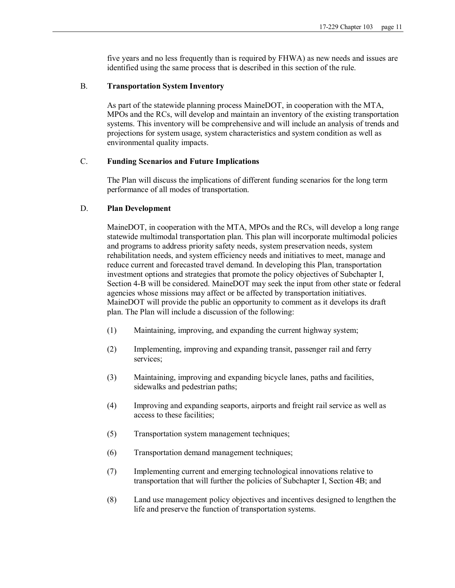five years and no less frequently than is required by FHWA) as new needs and issues are identified using the same process that is described in this section of the rule.

### B. **Transportation System Inventory**

As part of the statewide planning process MaineDOT, in cooperation with the MTA, MPOs and the RCs, will develop and maintain an inventory of the existing transportation systems. This inventory will be comprehensive and will include an analysis of trends and projections for system usage, system characteristics and system condition as well as environmental quality impacts.

# C. **Funding Scenarios and Future Implications**

The Plan will discuss the implications of different funding scenarios for the long term performance of all modes of transportation.

### D. **Plan Development**

MaineDOT, in cooperation with the MTA, MPOs and the RCs, will develop a long range statewide multimodal transportation plan. This plan will incorporate multimodal policies and programs to address priority safety needs, system preservation needs, system rehabilitation needs, and system efficiency needs and initiatives to meet, manage and reduce current and forecasted travel demand. In developing this Plan, transportation investment options and strategies that promote the policy objectives of Subchapter I, Section 4B will be considered. MaineDOT may seek the input from other state or federal agencies whose missions may affect or be affected by transportation initiatives. MaineDOT will provide the public an opportunity to comment as it develops its draft plan. The Plan will include a discussion of the following:

- (1) Maintaining, improving, and expanding the current highway system;
- (2) Implementing, improving and expanding transit, passenger rail and ferry services;
- (3) Maintaining, improving and expanding bicycle lanes, paths and facilities, sidewalks and pedestrian paths;
- (4) Improving and expanding seaports, airports and freight rail service as well as access to these facilities;
- (5) Transportation system management techniques;
- (6) Transportation demand management techniques;
- (7) Implementing current and emerging technological innovations relative to transportation that will further the policies of Subchapter I, Section 4B; and
- (8) Land use management policy objectives and incentives designed to lengthen the life and preserve the function of transportation systems.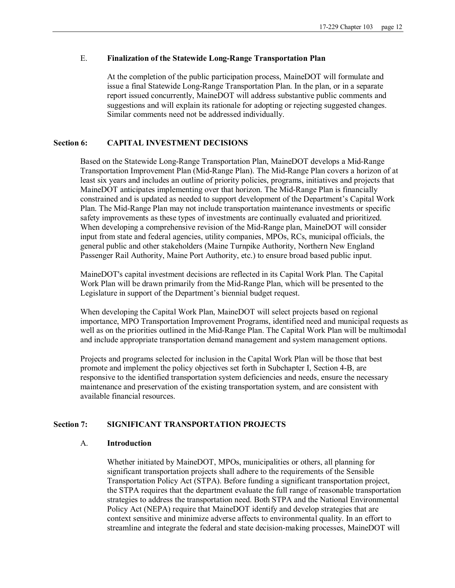# E. **Finalization of the Statewide LongRange Transportation Plan**

At the completion of the public participation process, MaineDOT will formulate and issue a final Statewide Long-Range Transportation Plan. In the plan, or in a separate report issued concurrently, MaineDOT will address substantive public comments and suggestions and will explain its rationale for adopting or rejecting suggested changes. Similar comments need not be addressed individually.

# **Section 6: CAPITAL INVESTMENT DECISIONS**

Based on the Statewide Long-Range Transportation Plan, MaineDOT develops a Mid-Range Transportation Improvement Plan (Mid-Range Plan). The Mid-Range Plan covers a horizon of at least six years and includes an outline of priority policies, programs, initiatives and projects that MaineDOT anticipates implementing over that horizon. The Mid-Range Plan is financially constrained and is updated as needed to support development of the Department's Capital Work Plan. The Mid-Range Plan may not include transportation maintenance investments or specific safety improvements as these types of investments are continually evaluated and prioritized. When developing a comprehensive revision of the Mid-Range plan, MaineDOT will consider input from state and federal agencies, utility companies, MPOs, RCs, municipal officials, the general public and other stakeholders (Maine Turnpike Authority, Northern New England Passenger Rail Authority, Maine Port Authority, etc.) to ensure broad based public input.

MaineDOT's capital investment decisions are reflected in its Capital Work Plan. The Capital Work Plan will be drawn primarily from the Mid-Range Plan, which will be presented to the Legislature in support of the Department's biennial budget request.

When developing the Capital Work Plan, MaineDOT will select projects based on regional importance, MPO Transportation Improvement Programs, identified need and municipal requests as well as on the priorities outlined in the Mid-Range Plan. The Capital Work Plan will be multimodal and include appropriate transportation demand management and system management options.

Projects and programs selected for inclusion in the Capital Work Plan will be those that best promote and implement the policy objectives set forth in Subchapter I, Section 4B, are responsive to the identified transportation system deficiencies and needs, ensure the necessary maintenance and preservation of the existing transportation system, and are consistent with available financial resources.

# **Section 7: SIGNIFICANT TRANSPORTATION PROJECTS**

### A. **Introduction**

Whether initiated by MaineDOT, MPOs, municipalities or others, all planning for significant transportation projects shall adhere to the requirements of the Sensible Transportation Policy Act (STPA). Before funding a significant transportation project, the STPA requires that the department evaluate the full range of reasonable transportation strategies to address the transportation need. Both STPA and the National Environmental Policy Act (NEPA) require that MaineDOT identify and develop strategies that are context sensitive and minimize adverse affects to environmental quality. In an effort to streamline and integrate the federal and state decision-making processes, MaineDOT will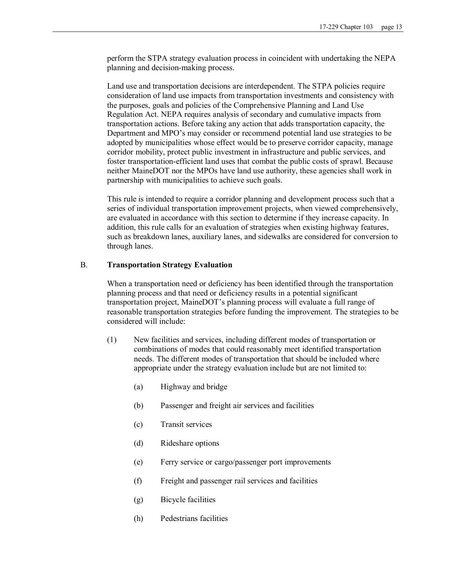perform the STPA strategy evaluation process in coincident with undertaking the NEPA planning and decision-making process.

Land use and transportation decisions are interdependent. The STPA policies require consideration of land use impacts from transportation investments and consistency with the purposes, goals and policies of the Comprehensive Planning and Land Use Regulation Act. NEPA requires analysis of secondary and cumulative impacts from transportation actions. Before taking any action that adds transportation capacity, the Department and MPO's may consider or recommend potential land use strategies to be adopted by municipalities whose effect would be to preserve corridor capacity, manage corridor mobility, protect public investment in infrastructure and public services, and foster transportation-efficient land uses that combat the public costs of sprawl. Because neither MaineDOT nor the MPOs have land use authority, these agencies shall work in partnership with municipalities to achieve such goals.

This rule is intended to require a corridor planning and development process such that a series of individual transportation improvement projects, when viewed comprehensively, are evaluated in accordance with this section to determine if they increase capacity. In addition, this rule calls for an evaluation of strategies when existing highway features, such as breakdown lanes, auxiliary lanes, and sidewalks are considered for conversion to through lanes.

### B. **Transportation Strategy Evaluation**

When a transportation need or deficiency has been identified through the transportation planning process and that need or deficiency results in a potential significant transportation project, MaineDOT's planning process will evaluate a full range of reasonable transportation strategies before funding the improvement. The strategies to be considered will include:

- (1) New facilities and services, including different modes of transportation or combinations of modes that could reasonably meet identified transportation needs. The different modes of transportation that should be included where appropriate under the strategy evaluation include but are not limited to:
	- (a) Highway and bridge
	- (b) Passenger and freight air services and facilities
	- (c) Transit services
	- (d) Rideshare options
	- (e) Ferry service or cargo/passenger port improvements
	- (f) Freight and passenger rail services and facilities
	- (g) Bicycle facilities
	- (h) Pedestrians facilities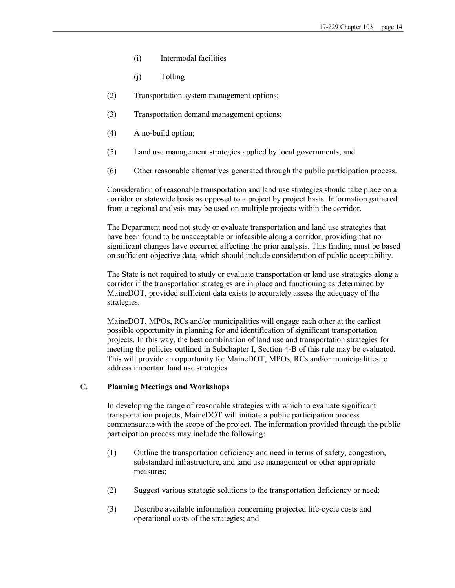- (i) Intermodal facilities
- (j) Tolling
- (2) Transportation system management options;
- (3) Transportation demand management options;
- $(4)$  A no-build option;
- (5) Land use management strategies applied by local governments; and
- (6) Other reasonable alternatives generated through the public participation process.

Consideration of reasonable transportation and land use strategies should take place on a corridor or statewide basis as opposed to a project by project basis. Information gathered from a regional analysis may be used on multiple projects within the corridor.

The Department need not study or evaluate transportation and land use strategies that have been found to be unacceptable or infeasible along a corridor, providing that no significant changes have occurred affecting the prior analysis. This finding must be based on sufficient objective data, which should include consideration of public acceptability.

The State is not required to study or evaluate transportation or land use strategies along a corridor if the transportation strategies are in place and functioning as determined by MaineDOT, provided sufficient data exists to accurately assess the adequacy of the strategies.

MaineDOT, MPOs, RCs and/or municipalities will engage each other at the earliest possible opportunity in planning for and identification of significant transportation projects. In this way, the best combination of land use and transportation strategies for meeting the policies outlined in Subchapter I, Section 4-B of this rule may be evaluated. This will provide an opportunity for MaineDOT, MPOs, RCs and/or municipalities to address important land use strategies.

### C. **Planning Meetings and Workshops**

In developing the range of reasonable strategies with which to evaluate significant transportation projects, MaineDOT will initiate a public participation process commensurate with the scope of the project. The information provided through the public participation process may include the following:

- (1) Outline the transportation deficiency and need in terms of safety, congestion, substandard infrastructure, and land use management or other appropriate measures;
- (2) Suggest various strategic solutions to the transportation deficiency or need;
- (3) Describe available information concerning projected life-cycle costs and operational costs of the strategies; and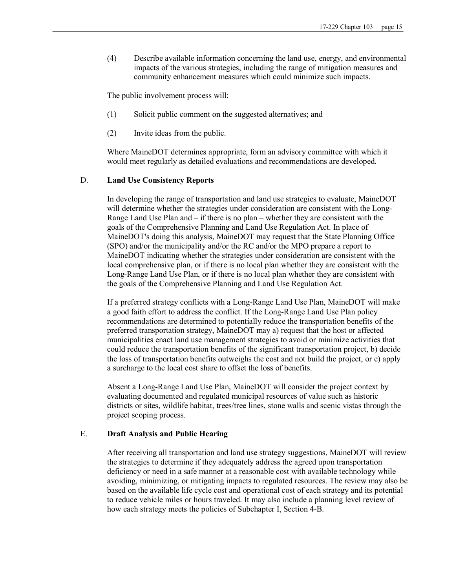(4) Describe available information concerning the land use, energy, and environmental impacts of the various strategies, including the range of mitigation measures and community enhancement measures which could minimize such impacts.

The public involvement process will:

- (1) Solicit public comment on the suggested alternatives; and
- (2) Invite ideas from the public.

Where MaineDOT determines appropriate, form an advisory committee with which it would meet regularly as detailed evaluations and recommendations are developed.

### D. **Land Use Consistency Reports**

In developing the range of transportation and land use strategies to evaluate, MaineDOT will determine whether the strategies under consideration are consistent with the Long Range Land Use Plan and – if there is no plan – whether they are consistent with the goals of the Comprehensive Planning and Land Use Regulation Act. In place of MaineDOT's doing this analysis, MaineDOT may request that the State Planning Office (SPO) and/or the municipality and/or the RC and/or the MPO prepare a report to MaineDOT indicating whether the strategies under consideration are consistent with the local comprehensive plan, or if there is no local plan whether they are consistent with the Long-Range Land Use Plan, or if there is no local plan whether they are consistent with the goals of the Comprehensive Planning and Land Use Regulation Act.

If a preferred strategy conflicts with a Long-Range Land Use Plan, MaineDOT will make a good faith effort to address the conflict. If the Long-Range Land Use Plan policy recommendations are determined to potentially reduce the transportation benefits of the preferred transportation strategy, MaineDOT may a) request that the host or affected municipalities enact land use management strategies to avoid or minimize activities that could reduce the transportation benefits of the significant transportation project, b) decide the loss of transportation benefits outweighs the cost and not build the project, or c) apply a surcharge to the local cost share to offset the loss of benefits.

Absent a Long-Range Land Use Plan, MaineDOT will consider the project context by evaluating documented and regulated municipal resources of value such as historic districts or sites, wildlife habitat, trees/tree lines, stone walls and scenic vistas through the project scoping process.

# E. **Draft Analysis and Public Hearing**

After receiving all transportation and land use strategy suggestions, MaineDOT will review the strategies to determine if they adequately address the agreed upon transportation deficiency or need in a safe manner at a reasonable cost with available technology while avoiding, minimizing, or mitigating impacts to regulated resources. The review may also be based on the available life cycle cost and operational cost of each strategy and its potential to reduce vehicle miles or hours traveled. It may also include a planning level review of how each strategy meets the policies of Subchapter I, Section 4-B.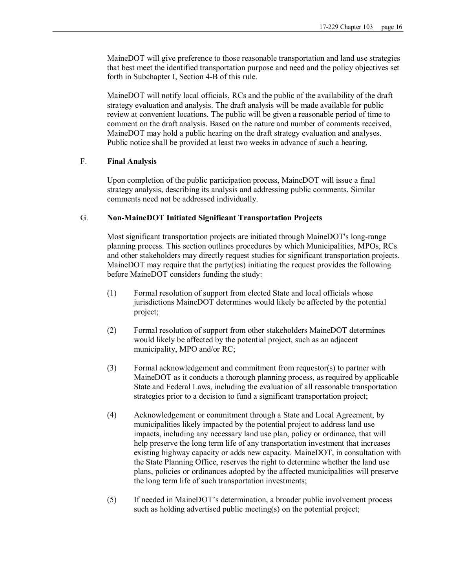MaineDOT will give preference to those reasonable transportation and land use strategies that best meet the identified transportation purpose and need and the policy objectives set forth in Subchapter I, Section 4-B of this rule.

MaineDOT will notify local officials, RCs and the public of the availability of the draft strategy evaluation and analysis. The draft analysis will be made available for public review at convenient locations. The public will be given a reasonable period of time to comment on the draft analysis. Based on the nature and number of comments received, MaineDOT may hold a public hearing on the draft strategy evaluation and analyses. Public notice shall be provided at least two weeks in advance of such a hearing.

#### F. **Final Analysis**

Upon completion of the public participation process, MaineDOT will issue a final strategy analysis, describing its analysis and addressing public comments. Similar comments need not be addressed individually.

#### G. **NonMaineDOT Initiated Significant Transportation Projects**

Most significant transportation projects are initiated through MaineDOT's long-range planning process. This section outlines procedures by which Municipalities, MPOs, RCs and other stakeholders may directly request studies for significant transportation projects. MaineDOT may require that the party(ies) initiating the request provides the following before MaineDOT considers funding the study:

- (1) Formal resolution of support from elected State and local officials whose jurisdictions MaineDOT determines would likely be affected by the potential project;
- (2) Formal resolution of support from other stakeholders MaineDOT determines would likely be affected by the potential project, such as an adjacent municipality, MPO and/or RC;
- (3) Formal acknowledgement and commitment from requestor(s) to partner with MaineDOT as it conducts a thorough planning process, as required by applicable State and Federal Laws, including the evaluation of all reasonable transportation strategies prior to a decision to fund a significant transportation project;
- (4) Acknowledgement or commitment through a State and Local Agreement, by municipalities likely impacted by the potential project to address land use impacts, including any necessary land use plan, policy or ordinance, that will help preserve the long term life of any transportation investment that increases existing highway capacity or adds new capacity. MaineDOT, in consultation with the State Planning Office, reserves the right to determine whether the land use plans, policies or ordinances adopted by the affected municipalities will preserve the long term life of such transportation investments;
- (5) If needed in MaineDOT's determination, a broader public involvement process such as holding advertised public meeting(s) on the potential project;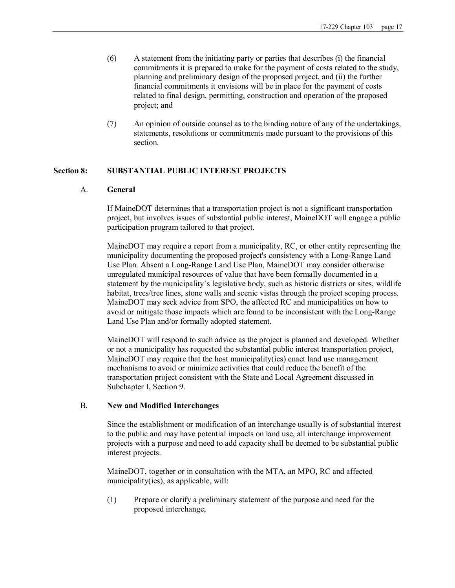- (6) A statement from the initiating party or parties that describes (i) the financial commitments it is prepared to make for the payment of costs related to the study, planning and preliminary design of the proposed project, and (ii) the further financial commitments it envisions will be in place for the payment of costs related to final design, permitting, construction and operation of the proposed project; and
- (7) An opinion of outside counsel as to the binding nature of any of the undertakings, statements, resolutions or commitments made pursuant to the provisions of this section.

# **Section 8: SUBSTANTIAL PUBLIC INTEREST PROJECTS**

### A. **General**

If MaineDOT determines that a transportation project is not a significant transportation project, but involves issues of substantial public interest, MaineDOT will engage a public participation program tailored to that project.

MaineDOT may require a report from a municipality, RC, or other entity representing the municipality documenting the proposed project's consistency with a Long-Range Land Use Plan. Absent a Long-Range Land Use Plan, MaineDOT may consider otherwise unregulated municipal resources of value that have been formally documented in a statement by the municipality's legislative body, such as historic districts or sites, wildlife habitat, trees/tree lines, stone walls and scenic vistas through the project scoping process. MaineDOT may seek advice from SPO, the affected RC and municipalities on how to avoid or mitigate those impacts which are found to be inconsistent with the Long-Range Land Use Plan and/or formally adopted statement.

MaineDOT will respond to such advice as the project is planned and developed. Whether or not a municipality has requested the substantial public interest transportation project, MaineDOT may require that the host municipality(ies) enact land use management mechanisms to avoid or minimize activities that could reduce the benefit of the transportation project consistent with the State and Local Agreement discussed in Subchapter I, Section 9.

### B. **New and Modified Interchanges**

Since the establishment or modification of an interchange usually is of substantial interest to the public and may have potential impacts on land use, all interchange improvement projects with a purpose and need to add capacity shall be deemed to be substantial public interest projects.

MaineDOT, together or in consultation with the MTA, an MPO, RC and affected municipality(ies), as applicable, will:

(1) Prepare or clarify a preliminary statement of the purpose and need for the proposed interchange;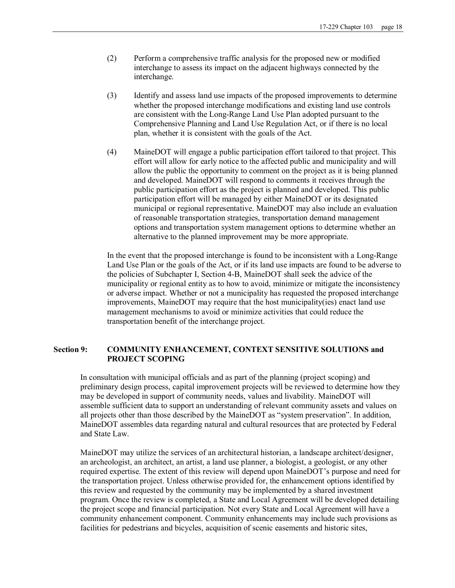- (2) Perform a comprehensive traffic analysis for the proposed new or modified interchange to assess its impact on the adjacent highways connected by the interchange.
- (3) Identify and assess land use impacts of the proposed improvements to determine whether the proposed interchange modifications and existing land use controls are consistent with the Long-Range Land Use Plan adopted pursuant to the Comprehensive Planning and Land Use Regulation Act, or if there is no local plan, whether it is consistent with the goals of the Act.
- (4) MaineDOT will engage a public participation effort tailored to that project. This effort will allow for early notice to the affected public and municipality and will allow the public the opportunity to comment on the project as it is being planned and developed. MaineDOT will respond to comments it receives through the public participation effort as the project is planned and developed. This public participation effort will be managed by either MaineDOT or its designated municipal or regional representative. MaineDOT may also include an evaluation of reasonable transportation strategies, transportation demand management options and transportation system management options to determine whether an alternative to the planned improvement may be more appropriate.

In the event that the proposed interchange is found to be inconsistent with a Long-Range Land Use Plan or the goals of the Act, or if its land use impacts are found to be adverse to the policies of Subchapter I, Section 4-B, MaineDOT shall seek the advice of the municipality or regional entity as to how to avoid, minimize or mitigate the inconsistency or adverse impact. Whether or not a municipality has requested the proposed interchange improvements, MaineDOT may require that the host municipality(ies) enact land use management mechanisms to avoid or minimize activities that could reduce the transportation benefit of the interchange project.

### **Section 9: COMMUNITY ENHANCEMENT, CONTEXT SENSITIVE SOLUTIONS and PROJECT SCOPING**

In consultation with municipal officials and as part of the planning (project scoping) and preliminary design process, capital improvement projects will be reviewed to determine how they may be developed in support of community needs, values and livability. MaineDOT will assemble sufficient data to support an understanding of relevant community assets and values on all projects other than those described by the MaineDOT as "system preservation". In addition, MaineDOT assembles data regarding natural and cultural resources that are protected by Federal and State Law.

MaineDOT may utilize the services of an architectural historian, a landscape architect/designer, an archeologist, an architect, an artist, a land use planner, a biologist, a geologist, or any other required expertise. The extent of this review will depend upon MaineDOT's purpose and need for the transportation project. Unless otherwise provided for, the enhancement options identified by this review and requested by the community may be implemented by a shared investment program. Once the review is completed, a State and Local Agreement will be developed detailing the project scope and financial participation. Not every State and Local Agreement will have a community enhancement component. Community enhancements may include such provisions as facilities for pedestrians and bicycles, acquisition of scenic easements and historic sites,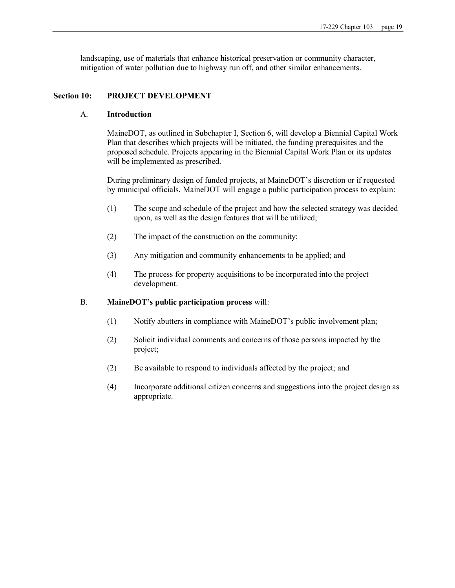landscaping, use of materials that enhance historical preservation or community character, mitigation of water pollution due to highway run off, and other similar enhancements.

# **Section 10: PROJECT DEVELOPMENT**

# A. **Introduction**

MaineDOT, as outlined in Subchapter I, Section 6, will develop a Biennial Capital Work Plan that describes which projects will be initiated, the funding prerequisites and the proposed schedule. Projects appearing in the Biennial Capital Work Plan or its updates will be implemented as prescribed.

During preliminary design of funded projects, at MaineDOT's discretion or if requested by municipal officials, MaineDOT will engage a public participation process to explain:

- (1) The scope and schedule of the project and how the selected strategy was decided upon, as well as the design features that will be utilized;
- (2) The impact of the construction on the community;
- (3) Any mitigation and community enhancements to be applied; and
- (4) The process for property acquisitions to be incorporated into the project development.

# B. **MaineDOT's public participation process** will:

- (1) Notify abutters in compliance with MaineDOT's public involvement plan;
- (2) Solicit individual comments and concerns of those persons impacted by the project;
- (2) Be available to respond to individuals affected by the project; and
- (4) Incorporate additional citizen concerns and suggestions into the project design as appropriate.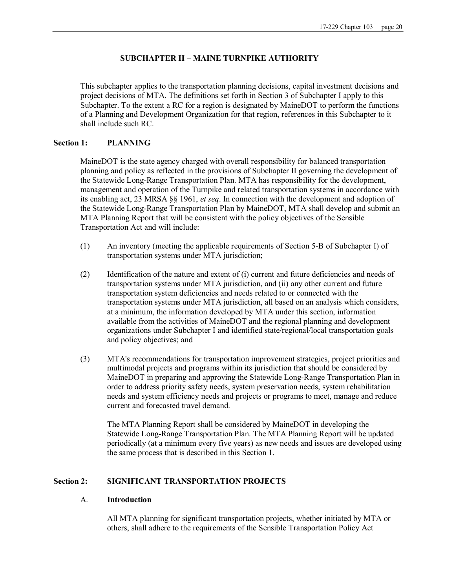### **SUBCHAPTER II – MAINE TURNPIKE AUTHORITY**

This subchapter applies to the transportation planning decisions, capital investment decisions and project decisions of MTA. The definitions set forth in Section 3 of Subchapter I apply to this Subchapter. To the extent a RC for a region is designated by MaineDOT to perform the functions of a Planning and Development Organization for that region, references in this Subchapter to it shall include such RC.

# **Section 1: PLANNING**

MaineDOT is the state agency charged with overall responsibility for balanced transportation planning and policy as reflected in the provisions of Subchapter II governing the development of the Statewide Long-Range Transportation Plan. MTA has responsibility for the development, management and operation of the Turnpike and related transportation systems in accordance with its enabling act, 23 MRSA §§ 1961, *et seq*. In connection with the development and adoption of the Statewide Long-Range Transportation Plan by MaineDOT, MTA shall develop and submit an MTA Planning Report that will be consistent with the policy objectives of the Sensible Transportation Act and will include:

- (1) An inventory (meeting the applicable requirements of Section 5-B of Subchapter I) of transportation systems under MTA jurisdiction;
- (2) Identification of the nature and extent of (i) current and future deficiencies and needs of transportation systems under MTA jurisdiction, and (ii) any other current and future transportation system deficiencies and needs related to or connected with the transportation systems under MTA jurisdiction, all based on an analysis which considers, at a minimum, the information developed by MTA under this section, information available from the activities of MaineDOT and the regional planning and development organizations under Subchapter I and identified state/regional/local transportation goals and policy objectives; and
- (3) MTA's recommendations for transportation improvement strategies, project priorities and multimodal projects and programs within its jurisdiction that should be considered by MaineDOT in preparing and approving the Statewide Long-Range Transportation Plan in order to address priority safety needs, system preservation needs, system rehabilitation needs and system efficiency needs and projects or programs to meet, manage and reduce current and forecasted travel demand.

The MTA Planning Report shall be considered by MaineDOT in developing the Statewide Long-Range Transportation Plan. The MTA Planning Report will be updated periodically (at a minimum every five years) as new needs and issues are developed using the same process that is described in this Section 1.

### **Section 2: SIGNIFICANT TRANSPORTATION PROJECTS**

#### A. **Introduction**

All MTA planning for significant transportation projects, whether initiated by MTA or others, shall adhere to the requirements of the Sensible Transportation Policy Act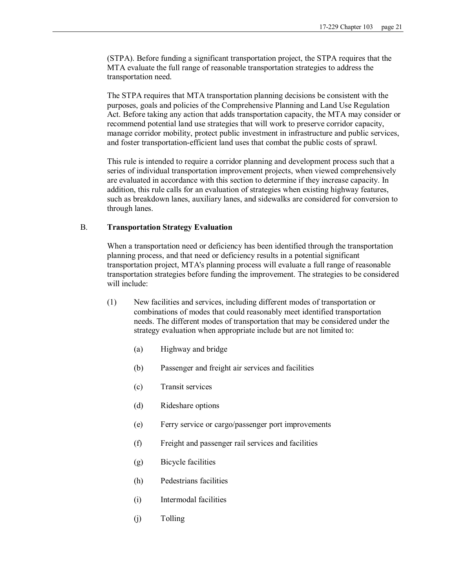(STPA). Before funding a significant transportation project, the STPA requires that the MTA evaluate the full range of reasonable transportation strategies to address the transportation need.

The STPA requires that MTA transportation planning decisions be consistent with the purposes, goals and policies of the Comprehensive Planning and Land Use Regulation Act. Before taking any action that adds transportation capacity, the MTA may consider or recommend potential land use strategies that will work to preserve corridor capacity, manage corridor mobility, protect public investment in infrastructure and public services, and foster transportation-efficient land uses that combat the public costs of sprawl.

This rule is intended to require a corridor planning and development process such that a series of individual transportation improvement projects, when viewed comprehensively are evaluated in accordance with this section to determine if they increase capacity. In addition, this rule calls for an evaluation of strategies when existing highway features, such as breakdown lanes, auxiliary lanes, and sidewalks are considered for conversion to through lanes.

### B. **Transportation Strategy Evaluation**

When a transportation need or deficiency has been identified through the transportation planning process, and that need or deficiency results in a potential significant transportation project, MTA's planning process will evaluate a full range of reasonable transportation strategies before funding the improvement. The strategies to be considered will include:

- (1) New facilities and services, including different modes of transportation or combinations of modes that could reasonably meet identified transportation needs. The different modes of transportation that may be considered under the strategy evaluation when appropriate include but are not limited to:
	- (a) Highway and bridge
	- (b) Passenger and freight air services and facilities
	- (c) Transit services
	- (d) Rideshare options
	- (e) Ferry service or cargo/passenger port improvements
	- (f) Freight and passenger rail services and facilities
	- (g) Bicycle facilities
	- (h) Pedestrians facilities
	- (i) Intermodal facilities
	- (j) Tolling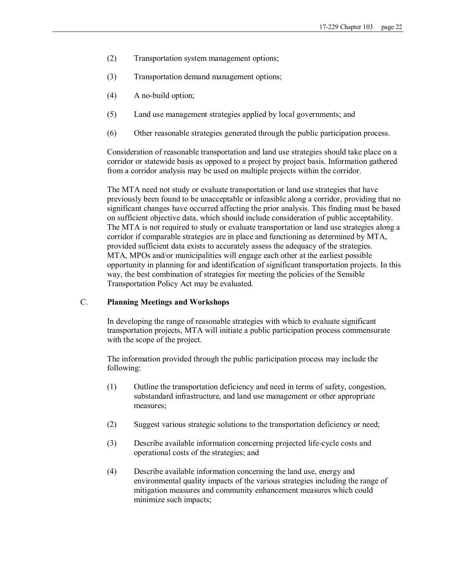- (2) Transportation system management options;
- (3) Transportation demand management options;
- $(4)$  A no-build option;
- (5) Land use management strategies applied by local governments; and
- (6) Other reasonable strategies generated through the public participation process.

Consideration of reasonable transportation and land use strategies should take place on a corridor or statewide basis as opposed to a project by project basis. Information gathered from a corridor analysis may be used on multiple projects within the corridor.

The MTA need not study or evaluate transportation or land use strategies that have previously been found to be unacceptable or infeasible along a corridor, providing that no significant changes have occurred affecting the prior analysis. This finding must be based on sufficient objective data, which should include consideration of public acceptability. The MTA is not required to study or evaluate transportation or land use strategies along a corridor if comparable strategies are in place and functioning as determined by MTA, provided sufficient data exists to accurately assess the adequacy of the strategies. MTA, MPOs and/or municipalities will engage each other at the earliest possible opportunity in planning for and identification of significant transportation projects. In this way, the best combination of strategies for meeting the policies of the Sensible Transportation Policy Act may be evaluated.

# C. **Planning Meetings and Workshops**

In developing the range of reasonable strategies with which to evaluate significant transportation projects, MTA will initiate a public participation process commensurate with the scope of the project.

The information provided through the public participation process may include the following:

- (1) Outline the transportation deficiency and need in terms of safety, congestion, substandard infrastructure, and land use management or other appropriate measures;
- (2) Suggest various strategic solutions to the transportation deficiency or need;
- (3) Describe available information concerning projected life-cycle costs and operational costs of the strategies; and
- (4) Describe available information concerning the land use, energy and environmental quality impacts of the various strategies including the range of mitigation measures and community enhancement measures which could minimize such impacts;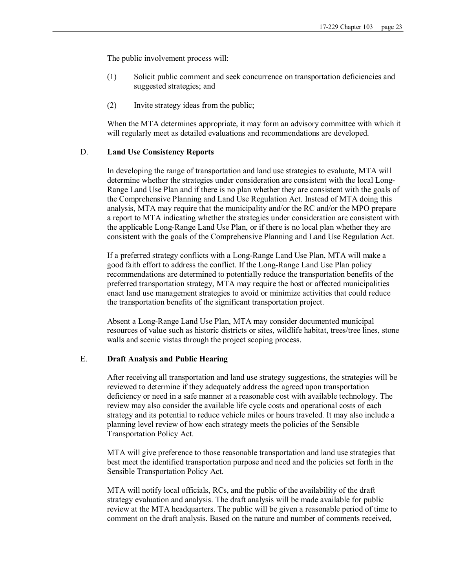The public involvement process will:

- (1) Solicit public comment and seek concurrence on transportation deficiencies and suggested strategies; and
- (2) Invite strategy ideas from the public;

When the MTA determines appropriate, it may form an advisory committee with which it will regularly meet as detailed evaluations and recommendations are developed.

### D. **Land Use Consistency Reports**

In developing the range of transportation and land use strategies to evaluate, MTA will determine whether the strategies under consideration are consistent with the local Long Range Land Use Plan and if there is no plan whether they are consistent with the goals of the Comprehensive Planning and Land Use Regulation Act. Instead of MTA doing this analysis, MTA may require that the municipality and/or the RC and/or the MPO prepare a report to MTA indicating whether the strategies under consideration are consistent with the applicable Long-Range Land Use Plan, or if there is no local plan whether they are consistent with the goals of the Comprehensive Planning and Land Use Regulation Act.

If a preferred strategy conflicts with a Long-Range Land Use Plan, MTA will make a good faith effort to address the conflict. If the Long-Range Land Use Plan policy recommendations are determined to potentially reduce the transportation benefits of the preferred transportation strategy, MTA may require the host or affected municipalities enact land use management strategies to avoid or minimize activities that could reduce the transportation benefits of the significant transportation project.

Absent a Long-Range Land Use Plan, MTA may consider documented municipal resources of value such as historic districts or sites, wildlife habitat, trees/tree lines, stone walls and scenic vistas through the project scoping process.

#### E. **Draft Analysis and Public Hearing**

After receiving all transportation and land use strategy suggestions, the strategies will be reviewed to determine if they adequately address the agreed upon transportation deficiency or need in a safe manner at a reasonable cost with available technology. The review may also consider the available life cycle costs and operational costs of each strategy and its potential to reduce vehicle miles or hours traveled. It may also include a planning level review of how each strategy meets the policies of the Sensible Transportation Policy Act.

MTA will give preference to those reasonable transportation and land use strategies that best meet the identified transportation purpose and need and the policies set forth in the Sensible Transportation Policy Act.

MTA will notify local officials, RCs, and the public of the availability of the draft strategy evaluation and analysis. The draft analysis will be made available for public review at the MTA headquarters. The public will be given a reasonable period of time to comment on the draft analysis. Based on the nature and number of comments received,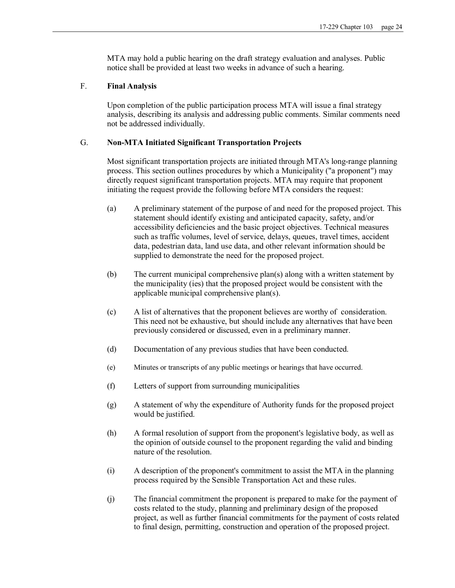MTA may hold a public hearing on the draft strategy evaluation and analyses. Public notice shall be provided at least two weeks in advance of such a hearing.

# F. **Final Analysis**

Upon completion of the public participation process MTA will issue a final strategy analysis, describing its analysis and addressing public comments. Similar comments need not be addressed individually.

# G. **NonMTA Initiated Significant Transportation Projects**

Most significant transportation projects are initiated through MTA's long-range planning process. This section outlines procedures by which a Municipality ("a proponent") may directly request significant transportation projects. MTA may require that proponent initiating the request provide the following before MTA considers the request:

- (a) A preliminary statement of the purpose of and need for the proposed project. This statement should identify existing and anticipated capacity, safety, and/or accessibility deficiencies and the basic project objectives. Technical measures such as traffic volumes, level of service, delays, queues, travel times, accident data, pedestrian data, land use data, and other relevant information should be supplied to demonstrate the need for the proposed project.
- (b) The current municipal comprehensive plan(s) along with a written statement by the municipality (ies) that the proposed project would be consistent with the applicable municipal comprehensive plan(s).
- (c) A list of alternatives that the proponent believes are worthy of consideration. This need not be exhaustive, but should include any alternatives that have been previously considered or discussed, even in a preliminary manner.
- (d) Documentation of any previous studies that have been conducted.
- (e) Minutes or transcripts of any public meetings or hearings that have occurred.
- (f) Letters of support from surrounding municipalities
- (g) A statement of why the expenditure of Authority funds for the proposed project would be justified.
- (h) A formal resolution of support from the proponent's legislative body, as well as the opinion of outside counsel to the proponent regarding the valid and binding nature of the resolution.
- (i) A description of the proponent's commitment to assist the MTA in the planning process required by the Sensible Transportation Act and these rules.
- (j) The financial commitment the proponent is prepared to make for the payment of costs related to the study, planning and preliminary design of the proposed project, as well as further financial commitments for the payment of costs related to final design, permitting, construction and operation of the proposed project.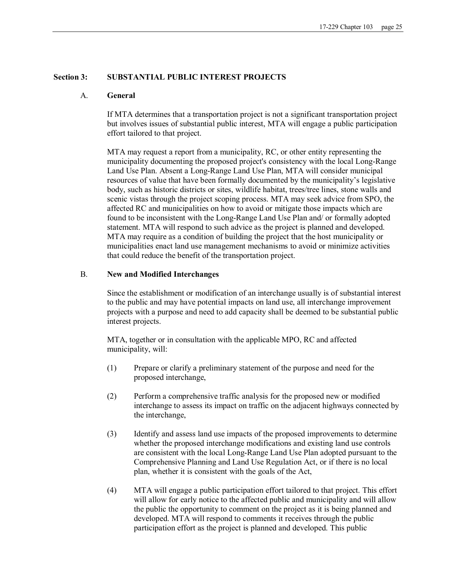#### **Section 3: SUBSTANTIAL PUBLIC INTEREST PROJECTS**

#### A. **General**

If MTA determines that a transportation project is not a significant transportation project but involves issues of substantial public interest, MTA will engage a public participation effort tailored to that project.

MTA may request a report from a municipality, RC, or other entity representing the municipality documenting the proposed project's consistency with the local Long-Range Land Use Plan. Absent a Long-Range Land Use Plan, MTA will consider municipal resources of value that have been formally documented by the municipality's legislative body, such as historic districts or sites, wildlife habitat, trees/tree lines, stone walls and scenic vistas through the project scoping process. MTA may seek advice from SPO, the affected RC and municipalities on how to avoid or mitigate those impacts which are found to be inconsistent with the Long-Range Land Use Plan and/ or formally adopted statement. MTA will respond to such advice as the project is planned and developed. MTA may require as a condition of building the project that the host municipality or municipalities enact land use management mechanisms to avoid or minimize activities that could reduce the benefit of the transportation project.

# B. **New and Modified Interchanges**

Since the establishment or modification of an interchange usually is of substantial interest to the public and may have potential impacts on land use, all interchange improvement projects with a purpose and need to add capacity shall be deemed to be substantial public interest projects.

MTA, together or in consultation with the applicable MPO, RC and affected municipality, will:

- (1) Prepare or clarify a preliminary statement of the purpose and need for the proposed interchange,
- (2) Perform a comprehensive traffic analysis for the proposed new or modified interchange to assess its impact on traffic on the adjacent highways connected by the interchange,
- (3) Identify and assess land use impacts of the proposed improvements to determine whether the proposed interchange modifications and existing land use controls are consistent with the local Long-Range Land Use Plan adopted pursuant to the Comprehensive Planning and Land Use Regulation Act, or if there is no local plan, whether it is consistent with the goals of the Act,
- (4) MTA will engage a public participation effort tailored to that project. This effort will allow for early notice to the affected public and municipality and will allow the public the opportunity to comment on the project as it is being planned and developed. MTA will respond to comments it receives through the public participation effort as the project is planned and developed. This public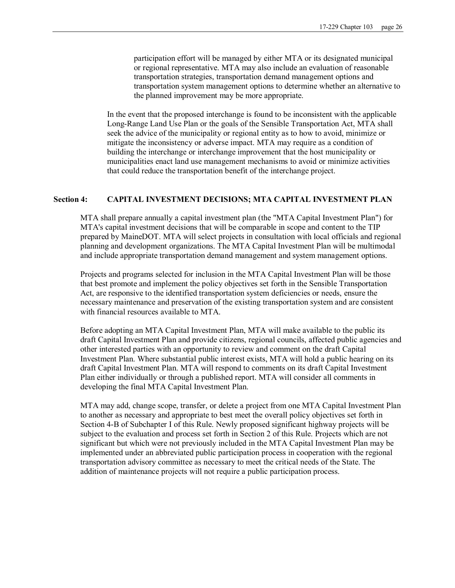participation effort will be managed by either MTA or its designated municipal or regional representative. MTA may also include an evaluation of reasonable transportation strategies, transportation demand management options and transportation system management options to determine whether an alternative to the planned improvement may be more appropriate.

In the event that the proposed interchange is found to be inconsistent with the applicable Long-Range Land Use Plan or the goals of the Sensible Transportation Act, MTA shall seek the advice of the municipality or regional entity as to how to avoid, minimize or mitigate the inconsistency or adverse impact. MTA may require as a condition of building the interchange or interchange improvement that the host municipality or municipalities enact land use management mechanisms to avoid or minimize activities that could reduce the transportation benefit of the interchange project.

#### **Section 4: CAPITAL INVESTMENT DECISIONS; MTA CAPITAL INVESTMENT PLAN**

MTA shall prepare annually a capital investment plan (the "MTA Capital Investment Plan") for MTA's capital investment decisions that will be comparable in scope and content to the TIP prepared by MaineDOT. MTA will select projects in consultation with local officials and regional planning and development organizations. The MTA Capital Investment Plan will be multimodal and include appropriate transportation demand management and system management options.

Projects and programs selected for inclusion in the MTA Capital Investment Plan will be those that best promote and implement the policy objectives set forth in the Sensible Transportation Act, are responsive to the identified transportation system deficiencies or needs, ensure the necessary maintenance and preservation of the existing transportation system and are consistent with financial resources available to MTA.

Before adopting an MTA Capital Investment Plan, MTA will make available to the public its draft Capital Investment Plan and provide citizens, regional councils, affected public agencies and other interested parties with an opportunity to review and comment on the draft Capital Investment Plan. Where substantial public interest exists, MTA will hold a public hearing on its draft Capital Investment Plan. MTA will respond to comments on its draft Capital Investment Plan either individually or through a published report. MTA will consider all comments in developing the final MTA Capital Investment Plan.

MTA may add, change scope, transfer, or delete a project from one MTA Capital Investment Plan to another as necessary and appropriate to best meet the overall policy objectives set forth in Section 4-B of Subchapter I of this Rule. Newly proposed significant highway projects will be subject to the evaluation and process set forth in Section 2 of this Rule. Projects which are not significant but which were not previously included in the MTA Capital Investment Plan may be implemented under an abbreviated public participation process in cooperation with the regional transportation advisory committee as necessary to meet the critical needs of the State. The addition of maintenance projects will not require a public participation process.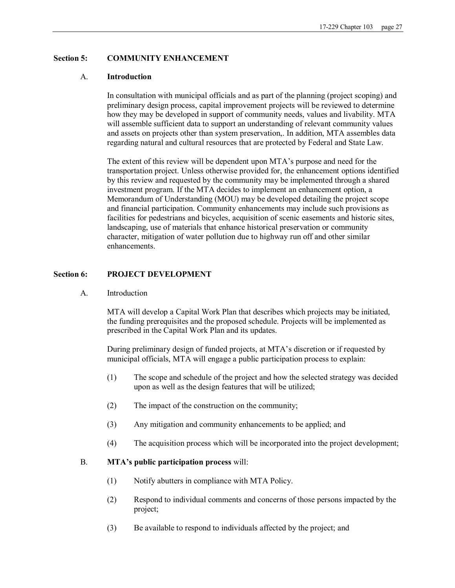# **Section 5: COMMUNITY ENHANCEMENT**

### A. **Introduction**

In consultation with municipal officials and as part of the planning (project scoping) and preliminary design process, capital improvement projects will be reviewed to determine how they may be developed in support of community needs, values and livability. MTA will assemble sufficient data to support an understanding of relevant community values and assets on projects other than system preservation,. In addition, MTA assembles data regarding natural and cultural resources that are protected by Federal and State Law.

The extent of this review will be dependent upon MTA's purpose and need for the transportation project. Unless otherwise provided for, the enhancement options identified by this review and requested by the community may be implemented through a shared investment program. If the MTA decides to implement an enhancement option, a Memorandum of Understanding (MOU) may be developed detailing the project scope and financial participation. Community enhancements may include such provisions as facilities for pedestrians and bicycles, acquisition of scenic easements and historic sites, landscaping, use of materials that enhance historical preservation or community character, mitigation of water pollution due to highway run off and other similar enhancements.

### **Section 6: PROJECT DEVELOPMENT**

A. Introduction

MTA will develop a Capital Work Plan that describes which projects may be initiated, the funding prerequisites and the proposed schedule. Projects will be implemented as prescribed in the Capital Work Plan and its updates.

During preliminary design of funded projects, at MTA's discretion or if requested by municipal officials, MTA will engage a public participation process to explain:

- (1) The scope and schedule of the project and how the selected strategy was decided upon as well as the design features that will be utilized;
- (2) The impact of the construction on the community;
- (3) Any mitigation and community enhancements to be applied; and
- (4) The acquisition process which will be incorporated into the project development;

### B. **MTA's public participation process** will:

- (1) Notify abutters in compliance with MTA Policy.
- (2) Respond to individual comments and concerns of those persons impacted by the project;
- (3) Be available to respond to individuals affected by the project; and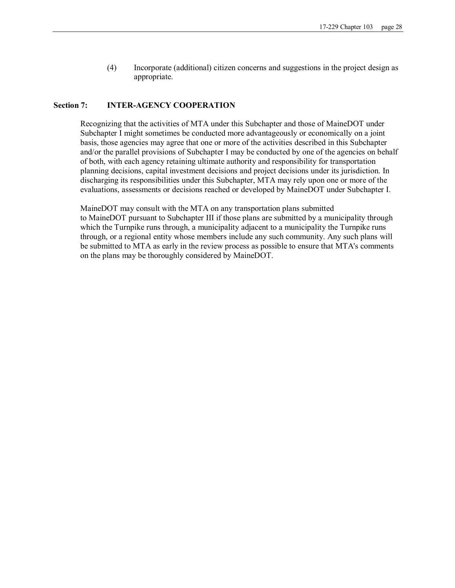(4) Incorporate (additional) citizen concerns and suggestions in the project design as appropriate.

#### **Section 7: INTERAGENCY COOPERATION**

Recognizing that the activities of MTA under this Subchapter and those of MaineDOT under Subchapter I might sometimes be conducted more advantageously or economically on a joint basis, those agencies may agree that one or more of the activities described in this Subchapter and/or the parallel provisions of Subchapter I may be conducted by one of the agencies on behalf of both, with each agency retaining ultimate authority and responsibility for transportation planning decisions, capital investment decisions and project decisions under its jurisdiction. In discharging its responsibilities under this Subchapter, MTA may rely upon one or more of the evaluations, assessments or decisions reached or developed by MaineDOT under Subchapter I.

MaineDOT may consult with the MTA on any transportation plans submitted to MaineDOT pursuant to Subchapter III if those plans are submitted by a municipality through which the Turnpike runs through, a municipality adjacent to a municipality the Turnpike runs through, or a regional entity whose members include any such community. Any such plans will be submitted to MTA as early in the review process as possible to ensure that MTA's comments on the plans may be thoroughly considered by MaineDOT.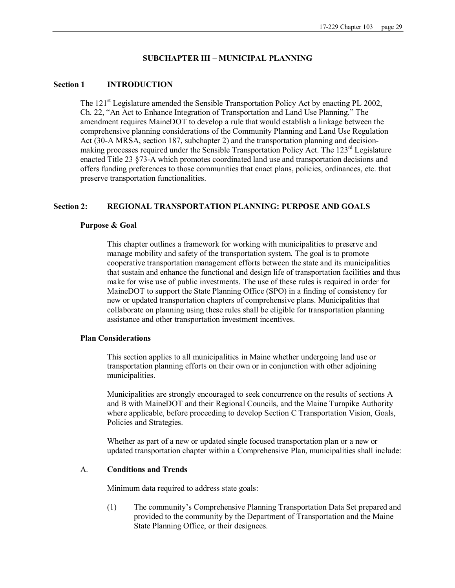### **SUBCHAPTER III – MUNICIPAL PLANNING**

#### **Section 1 INTRODUCTION**

The  $121<sup>st</sup>$  Legislature amended the Sensible Transportation Policy Act by enacting PL 2002, Ch. 22, "An Act to Enhance Integration of Transportation and Land Use Planning." The amendment requires MaineDOT to develop a rule that would establish a linkage between the comprehensive planning considerations of the Community Planning and Land Use Regulation Act (30-A MRSA, section 187, subchapter 2) and the transportation planning and decisionmaking processes required under the Sensible Transportation Policy Act. The  $123<sup>rd</sup>$  Legislature enacted Title 23 §73-A which promotes coordinated land use and transportation decisions and offers funding preferences to those communities that enact plans, policies, ordinances, etc. that preserve transportation functionalities.

### **Section 2: REGIONAL TRANSPORTATION PLANNING: PURPOSE AND GOALS**

#### **Purpose & Goal**

This chapter outlines a framework for working with municipalities to preserve and manage mobility and safety of the transportation system. The goal is to promote cooperative transportation management efforts between the state and its municipalities that sustain and enhance the functional and design life of transportation facilities and thus make for wise use of public investments. The use of these rules is required in order for MaineDOT to support the State Planning Office (SPO) in a finding of consistency for new or updated transportation chapters of comprehensive plans. Municipalities that collaborate on planning using these rules shall be eligible for transportation planning assistance and other transportation investment incentives.

#### **Plan Considerations**

This section applies to all municipalities in Maine whether undergoing land use or transportation planning efforts on their own or in conjunction with other adjoining municipalities.

Municipalities are strongly encouraged to seek concurrence on the results of sections A and B with MaineDOT and their Regional Councils, and the Maine Turnpike Authority where applicable, before proceeding to develop Section C Transportation Vision, Goals, Policies and Strategies.

Whether as part of a new or updated single focused transportation plan or a new or updated transportation chapter within a Comprehensive Plan, municipalities shall include:

# A. **Conditions and Trends**

Minimum data required to address state goals:

(1) The community's Comprehensive Planning Transportation Data Set prepared and provided to the community by the Department of Transportation and the Maine State Planning Office, or their designees.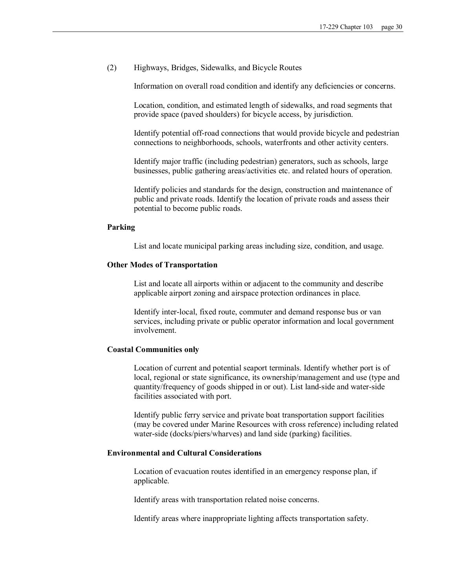(2) Highways, Bridges, Sidewalks, and Bicycle Routes

Information on overall road condition and identify any deficiencies or concerns.

Location, condition, and estimated length of sidewalks, and road segments that provide space (paved shoulders) for bicycle access, by jurisdiction.

Identify potential offroad connections that would provide bicycle and pedestrian connections to neighborhoods, schools, waterfronts and other activity centers.

Identify major traffic (including pedestrian) generators, such as schools, large businesses, public gathering areas/activities etc. and related hours of operation.

Identify policies and standards for the design, construction and maintenance of public and private roads. Identify the location of private roads and assess their potential to become public roads.

#### **Parking**

List and locate municipal parking areas including size, condition, and usage.

#### **Other Modes of Transportation**

List and locate all airports within or adjacent to the community and describe applicable airport zoning and airspace protection ordinances in place.

Identify inter-local, fixed route, commuter and demand response bus or van services, including private or public operator information and local government involvement.

#### **Coastal Communities only**

Location of current and potential seaport terminals. Identify whether port is of local, regional or state significance, its ownership/management and use (type and quantity/frequency of goods shipped in or out). List land-side and water-side facilities associated with port.

Identify public ferry service and private boat transportation support facilities (may be covered under Marine Resources with cross reference) including related water-side (docks/piers/wharves) and land side (parking) facilities.

# **Environmental and Cultural Considerations**

Location of evacuation routes identified in an emergency response plan, if applicable.

Identify areas with transportation related noise concerns.

Identify areas where inappropriate lighting affects transportation safety.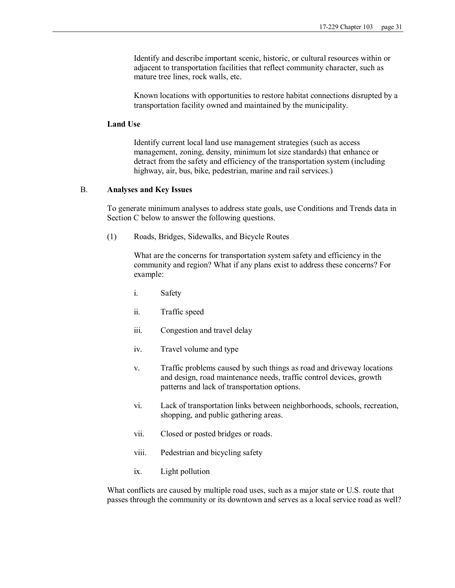Identify and describe important scenic, historic, or cultural resources within or adjacent to transportation facilities that reflect community character, such as mature tree lines, rock walls, etc.

Known locations with opportunities to restore habitat connections disrupted by a transportation facility owned and maintained by the municipality.

#### **Land Use**

Identify current local land use management strategies (such as access management, zoning, density, minimum lot size standards) that enhance or detract from the safety and efficiency of the transportation system (including highway, air, bus, bike, pedestrian, marine and rail services.)

#### B. **Analyses and Key Issues**

To generate minimum analyses to address state goals, use Conditions and Trends data in Section C below to answer the following questions.

(1) Roads, Bridges, Sidewalks, and Bicycle Routes

What are the concerns for transportation system safety and efficiency in the community and region? What if any plans exist to address these concerns? For example:

- i. Safety
- ii. Traffic speed
- iii. Congestion and travel delay
- iv. Travel volume and type
- v. Traffic problems caused by such things as road and driveway locations and design, road maintenance needs, traffic control devices, growth patterns and lack of transportation options.
- vi. Lack of transportation links between neighborhoods, schools, recreation, shopping, and public gathering areas.
- vii. Closed or posted bridges or roads.
- viii. Pedestrian and bicycling safety
- ix. Light pollution

What conflicts are caused by multiple road uses, such as a major state or U.S. route that passes through the community or its downtown and serves as a local service road as well?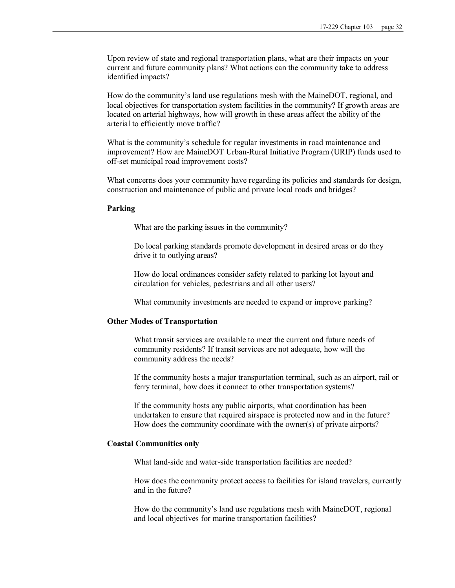Upon review of state and regional transportation plans, what are their impacts on your current and future community plans? What actions can the community take to address identified impacts?

How do the community's land use regulations mesh with the MaineDOT, regional, and local objectives for transportation system facilities in the community? If growth areas are located on arterial highways, how will growth in these areas affect the ability of the arterial to efficiently move traffic?

What is the community's schedule for regular investments in road maintenance and improvement? How are MaineDOT Urban-Rural Initiative Program (URIP) funds used to off-set municipal road improvement costs?

What concerns does your community have regarding its policies and standards for design, construction and maintenance of public and private local roads and bridges?

#### **Parking**

What are the parking issues in the community?

Do local parking standards promote development in desired areas or do they drive it to outlying areas?

How do local ordinances consider safety related to parking lot layout and circulation for vehicles, pedestrians and all other users?

What community investments are needed to expand or improve parking?

#### **Other Modes of Transportation**

What transit services are available to meet the current and future needs of community residents? If transit services are not adequate, how will the community address the needs?

If the community hosts a major transportation terminal, such as an airport, rail or ferry terminal, how does it connect to other transportation systems?

If the community hosts any public airports, what coordination has been undertaken to ensure that required airspace is protected now and in the future? How does the community coordinate with the owner(s) of private airports?

#### **Coastal Communities only**

What land-side and water-side transportation facilities are needed?

How does the community protect access to facilities for island travelers, currently and in the future?

How do the community's land use regulations mesh with MaineDOT, regional and local objectives for marine transportation facilities?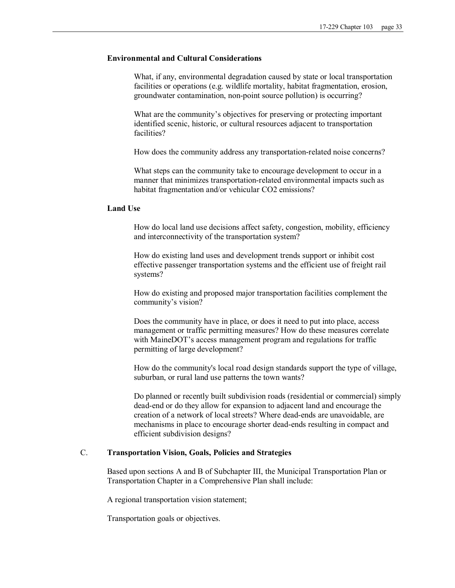### **Environmental and Cultural Considerations**

What, if any, environmental degradation caused by state or local transportation facilities or operations (e.g. wildlife mortality, habitat fragmentation, erosion, groundwater contamination, non-point source pollution) is occurring?

What are the community's objectives for preserving or protecting important identified scenic, historic, or cultural resources adjacent to transportation facilities?

How does the community address any transportation-related noise concerns?

What steps can the community take to encourage development to occur in a manner that minimizes transportation-related environmental impacts such as habitat fragmentation and/or vehicular CO2 emissions?

### **Land Use**

How do local land use decisions affect safety, congestion, mobility, efficiency and interconnectivity of the transportation system?

How do existing land uses and development trends support or inhibit cost effective passenger transportation systems and the efficient use of freight rail systems?

How do existing and proposed major transportation facilities complement the community's vision?

Does the community have in place, or does it need to put into place, access management or traffic permitting measures? How do these measures correlate with MaineDOT's access management program and regulations for traffic permitting of large development?

How do the community's local road design standards support the type of village, suburban, or rural land use patterns the town wants?

Do planned or recently built subdivision roads (residential or commercial) simply dead-end or do they allow for expansion to adjacent land and encourage the creation of a network of local streets? Where dead-ends are unavoidable, are mechanisms in place to encourage shorter dead-ends resulting in compact and efficient subdivision designs?

# C. **Transportation Vision, Goals, Policies and Strategies**

Based upon sections A and B of Subchapter III, the Municipal Transportation Plan or Transportation Chapter in a Comprehensive Plan shall include:

A regional transportation vision statement;

Transportation goals or objectives.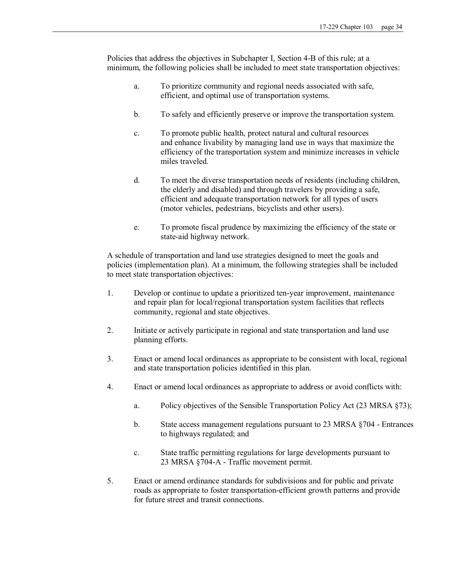Policies that address the objectives in Subchapter I, Section 4-B of this rule; at a minimum, the following policies shall be included to meet state transportation objectives:

- a. To prioritize community and regional needs associated with safe, efficient, and optimal use of transportation systems.
- b. To safely and efficiently preserve or improve the transportation system.
- c. To promote public health, protect natural and cultural resources and enhance livability by managing land use in ways that maximize the efficiency of the transportation system and minimize increases in vehicle miles traveled.
- d. To meet the diverse transportation needs of residents (including children, the elderly and disabled) and through travelers by providing a safe, efficient and adequate transportation network for all types of users (motor vehicles, pedestrians, bicyclists and other users).
- e. To promote fiscal prudence by maximizing the efficiency of the state or state-aid highway network.

A schedule of transportation and land use strategies designed to meet the goals and policies (implementation plan). At a minimum, the following strategies shall be included to meet state transportation objectives:

- 1. Develop or continue to update a prioritized tenyear improvement, maintenance and repair plan for local/regional transportation system facilities that reflects community, regional and state objectives.
- 2. Initiate or actively participate in regional and state transportation and land use planning efforts.
- 3. Enact or amend local ordinances as appropriate to be consistent with local, regional and state transportation policies identified in this plan.
- 4. Enact or amend local ordinances as appropriate to address or avoid conflicts with:
	- a. Policy objectives of the Sensible Transportation Policy Act (23 MRSA §73);
	- b. State access management regulations pursuant to 23 MRSA §704 Entrances to highways regulated; and
	- c. State traffic permitting regulations for large developments pursuant to 23 MRSA §704-A - Traffic movement permit.
- 5. Enact or amend ordinance standards for subdivisions and for public and private roads as appropriate to foster transportation-efficient growth patterns and provide for future street and transit connections.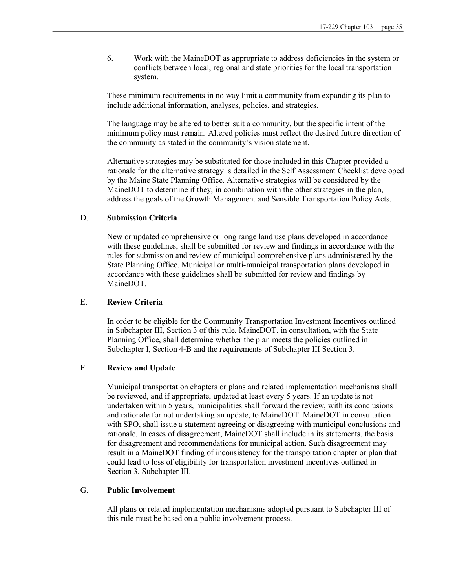6. Work with the MaineDOT as appropriate to address deficiencies in the system or conflicts between local, regional and state priorities for the local transportation system.

These minimum requirements in no way limit a community from expanding its plan to include additional information, analyses, policies, and strategies.

The language may be altered to better suit a community, but the specific intent of the minimum policy must remain. Altered policies must reflect the desired future direction of the community as stated in the community's vision statement.

Alternative strategies may be substituted for those included in this Chapter provided a rationale for the alternative strategy is detailed in the Self Assessment Checklist developed by the Maine State Planning Office. Alternative strategies will be considered by the MaineDOT to determine if they, in combination with the other strategies in the plan, address the goals of the Growth Management and Sensible Transportation Policy Acts.

### D. **Submission Criteria**

New or updated comprehensive or long range land use plans developed in accordance with these guidelines, shall be submitted for review and findings in accordance with the rules for submission and review of municipal comprehensive plans administered by the State Planning Office. Municipal or multi-municipal transportation plans developed in accordance with these guidelines shall be submitted for review and findings by MaineDOT.

# E. **Review Criteria**

In order to be eligible for the Community Transportation Investment Incentives outlined in Subchapter III, Section 3 of this rule, MaineDOT, in consultation, with the State Planning Office, shall determine whether the plan meets the policies outlined in Subchapter I, Section 4-B and the requirements of Subchapter III Section 3.

### F. **Review and Update**

Municipal transportation chapters or plans and related implementation mechanisms shall be reviewed, and if appropriate, updated at least every 5 years. If an update is not undertaken within 5 years, municipalities shall forward the review, with its conclusions and rationale for not undertaking an update, to MaineDOT. MaineDOT in consultation with SPO, shall issue a statement agreeing or disagreeing with municipal conclusions and rationale. In cases of disagreement, MaineDOT shall include in its statements, the basis for disagreement and recommendations for municipal action. Such disagreement may result in a MaineDOT finding of inconsistency for the transportation chapter or plan that could lead to loss of eligibility for transportation investment incentives outlined in Section 3. Subchapter III.

# G. **Public Involvement**

All plans or related implementation mechanisms adopted pursuant to Subchapter III of this rule must be based on a public involvement process.